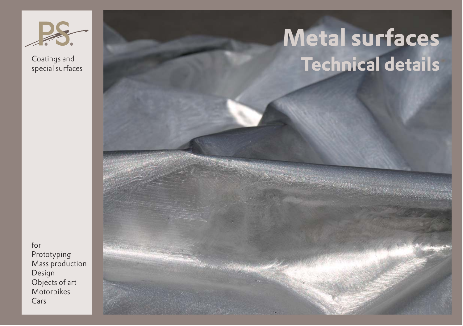

# **Metal surfaces Technical details**

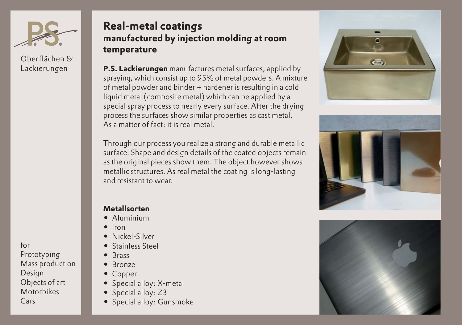

Oberflächen & Lackierungen

for Prototyping Mass production Design Objects of art Motorbikes Cars

### **Real-metal coatings manufactured by injection molding at room temperature**

**P.S. Lackierungen** manufactures metal surfaces, applied by spraying, which consist up to 95% of metal powders. A mixture of metal powder and binder + hardener is resulting in a cold liquid metal (composite metal) which can be applied by a special spray process to nearly every surface. After the drying process the surfaces show similar properties as cast metal. As a matter of fact: it is real metal.

Through our process you realize a strong and durable metallic surface. Shape and design details of the coated objects remain as the original pieces show them. The object however shows metallic structures. As real metal the coating is long-lasting and resistant to wear.

#### **Metallsorten**

- Aluminium
- -Iron
- -Nickel-Silver
- -Stainless Steel
- -Brass
- -Bronze
- -Copper
- -Special alloy: X-metal
- -Special alloy: Z3
- Special alloy: Gunsmoke





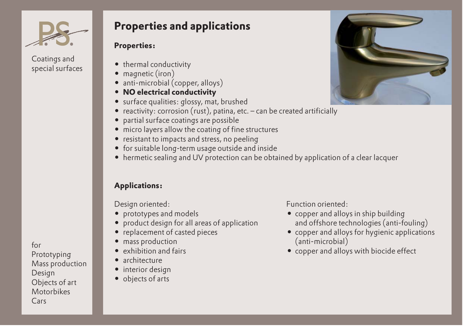

### **Properties and applications**

#### **Properties:**

- thermal conductivity
- magnetic (iron)
- anti-microbial (copper, alloys)
- **NO electrical conductivity**
- surface qualities: glossy, mat, brushed
- reactivity: corrosion (rust), patina, etc. can be created artificially
- partial surface coatings are possible
- micro layers allow the coating of fine structures
- resistant to impacts and stress, no peeling
- for suitable long-term usage outside and inside
- hermetic sealing and UV protection can be obtained by application of a clear lacquer

### **Applications:**

- prototypes and models **- and the set of the set of the set of the set of the set of the set of the set of the set of the set of the set of the set of the set of the set of the set of the set of the set of the set of th**
- -
- replacement of casted pieces  **and a state of casted** pieces  **and a state of a state of a state**
- mass production (anti-microbial)
- exhibition and fairs **- exhibition** and fairs **-**
- architecture
- interior design
- objects of arts

Design oriented: The Contraction of Punction oriented:

- copper and alloys in ship building product design for all areas of application and offshore technologies (anti-fouling)
	- copper and alloys for hygienic applications
	- copper and alloys with biocide effect

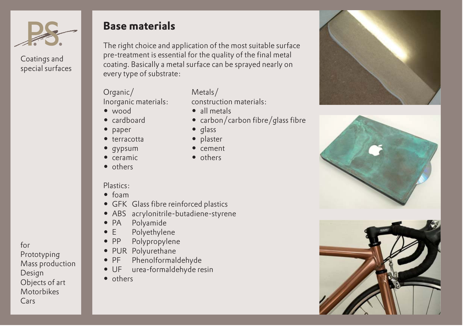

### **Base materials**

The right choice and application of the most suitable surface pre-treatment is essential for the quality of the final metal coating. Basically a metal surface can be sprayed nearly on every type of substrate:

## Organic/ Metals/<br>Inorganic materials: construction materials:

Inorganic materials:

- $\bullet$  wood  $\bullet$
- cardboard •
- $\bullet$ paper
- terracotta •
- $\bullet$ gypsum -
- ceramic -
- others

- 
- carbon/carbon fibre/glass fibre
- $\bullet$  glass
- plaster
- 
- others

#### Plastics:

- foam
- GFK Glass fibre reinforced plastics
- ABS acrylonitrile-butadiene-styrene
- -PA Polyamide
- -E Polyethylene
- $-$  PP Polypropylene
- PUR Polyurethane
- $\bullet$  PF Phenolformaldehyde
- UF urea-formaldehyde resin
- others

### • all metals

- 
- 
- 
- cement
- 





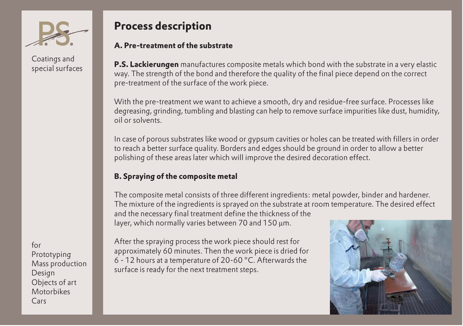

### **Process description**

#### **A. Pre-treatment of the substrate**

**P.S. Lackierungen** manufactures composite metals which bond with the substrate in a very elastic way. The strength of the bond and therefore the quality of the final piece depend on the correct pre-treatment of the surface of the work piece.

With the pre-treatment we want to achieve a smooth, dry and residue-free surface. Processes like degreasing, grinding, tumbling and blasting can help to remove surface impurities like dust, humidity, oil or solvents.

In case of porous substrates like wood or gypsum cavities or holes can be treated with fillers in order to reach a better surface quality. Borders and edges should be ground in order to allow a better polishing of these areas later which will improve the desired decoration effect.

#### **B. Spraying of the composite metal**

The composite metal consists of three different ingredients: metal powder, binder and hardener. The mixture of the ingredients is sprayed on the substrate at room temperature. The desired effect and the necessary final treatment define the thickness of the layer, which normally varies between 70 and 150 µm.

for Prototyping Mass production Design Objects of art **Motorbikes** Cars

After the spraying process the work piece should rest for approximately 60 minutes. Then the work piece is dried for 6 - 12 hours at a temperature of 20-60 °C. Afterwards the surface is ready for the next treatment steps.

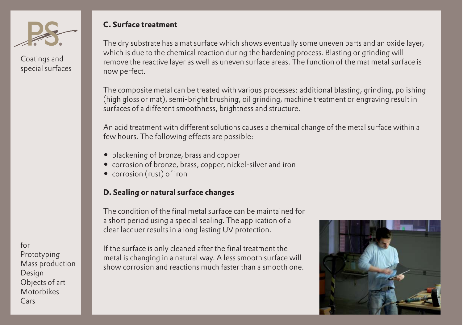

#### **C. Surface treatment**

The dry substrate has a mat surface which shows eventually some uneven parts and an oxide layer, which is due to the chemical reaction during the hardening process. Blasting or grinding will remove the reactive layer as well as uneven surface areas. The function of the mat metal surface is now perfect.

The composite metal can be treated with various processes: additional blasting, grinding, polishing (high gloss or mat), semi-bright brushing, oil grinding, machine treatment or engraving result in surfaces of a different smoothness, brightness and structure.

An acid treatment with different solutions causes a chemical change of the metal surface within a few hours. The following effects are possible:

- blackening of bronze, brass and copper
- corrosion of bronze, brass, copper, nickel-silver and iron
- corrosion (rust) of iron

#### **D. Sealing or natural surface changes**

The condition of the final metal surface can be maintained for a short period using a special sealing. The application of a clear lacquer results in a long lasting UV protection.

If the surface is only cleaned after the final treatment the metal is changing in a natural way. A less smooth surface will show corrosion and reactions much faster than a smooth one.

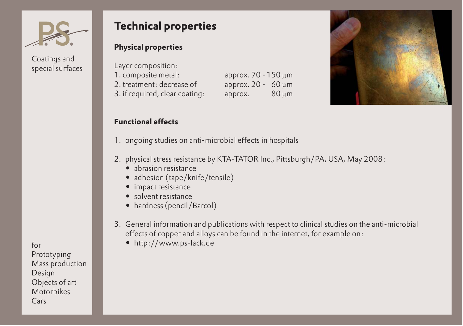

### **Technical properties**

#### **Physical properties**

| Layer composition:             |                         |       |
|--------------------------------|-------------------------|-------|
| 1. composite metal:            | арргох. 70 - 150 µm     |       |
| 2. treatment: decrease of      | approx. $20 - 60 \mu m$ |       |
| 3. if required, clear coating: | арргох.                 | 80 µm |

#### **Functional effects**

- 1. ongoing studies on anti-microbial effects in hospitals
- 2. physical stress resistance by KTA-TATOR Inc., Pittsburgh/PA, USA, May 2008:
	- abrasion resistance
	- adhesion (tape/knife/tensile)
	- impact resistance
	- solvent resistance
	- hardness (pencil/Barcol)
- 3. General information and publications with respect to clinical studies on the anti-microbial effects of copper and alloys can be found in the internet, for example on:
	- http://www.ps-lack.de